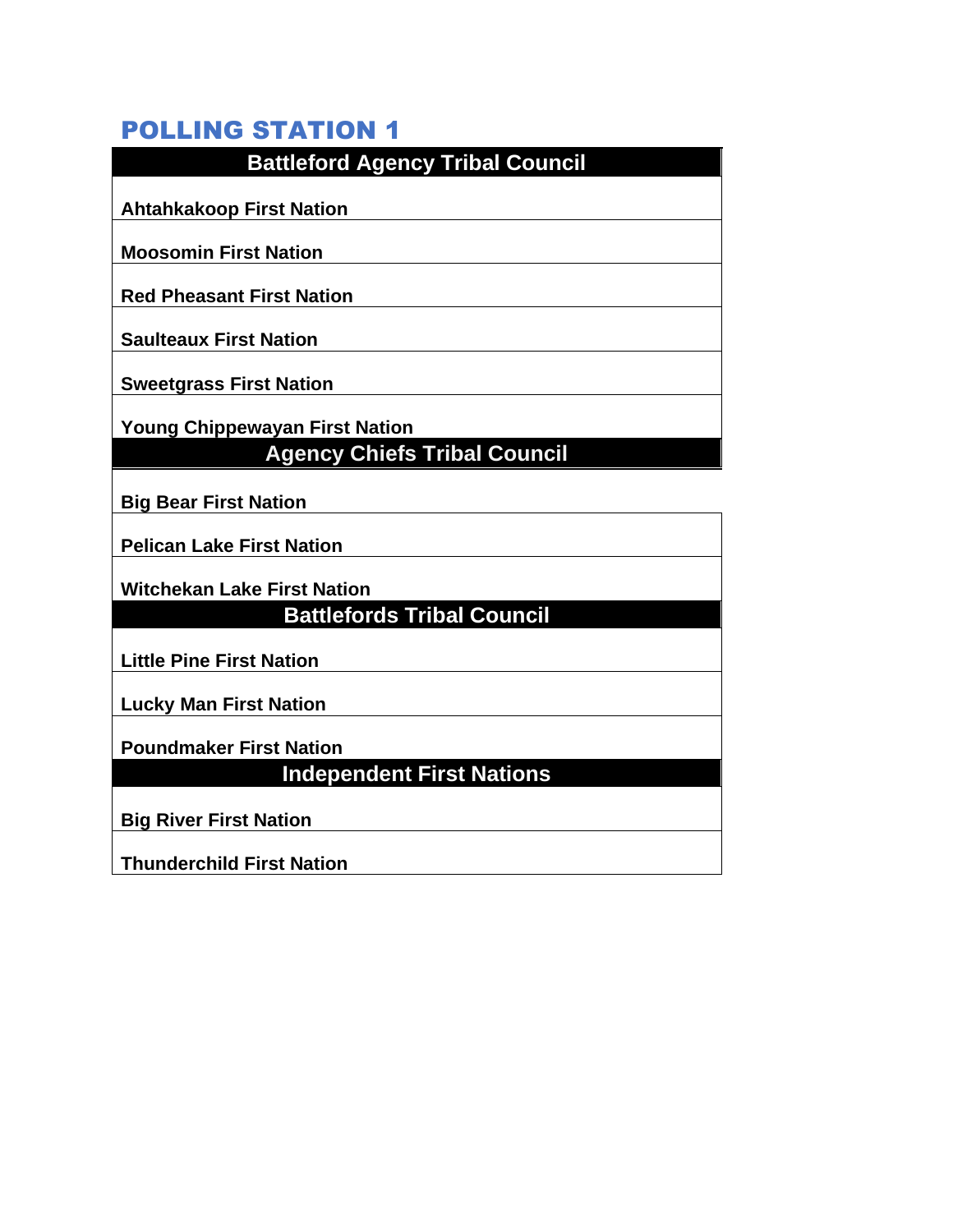| <b>Battleford Agency Tribal Council</b>                            |
|--------------------------------------------------------------------|
|                                                                    |
| <b>Ahtahkakoop First Nation</b>                                    |
|                                                                    |
| <b>Moosomin First Nation</b>                                       |
| <b>Red Pheasant First Nation</b>                                   |
| <b>Saulteaux First Nation</b>                                      |
|                                                                    |
| <b>Sweetgrass First Nation</b>                                     |
| <b>Young Chippewayan First Nation</b>                              |
| <b>Agency Chiefs Tribal Council</b>                                |
|                                                                    |
|                                                                    |
| <b>Big Bear First Nation</b>                                       |
|                                                                    |
| <b>Pelican Lake First Nation</b>                                   |
| <b>Witchekan Lake First Nation</b>                                 |
| <b>Battlefords Tribal Council</b>                                  |
|                                                                    |
| <b>Little Pine First Nation</b>                                    |
| <b>Lucky Man First Nation</b>                                      |
|                                                                    |
| <b>Poundmaker First Nation</b><br><b>Independent First Nations</b> |

**Big River First Nation**

**Thunderchild First Nation**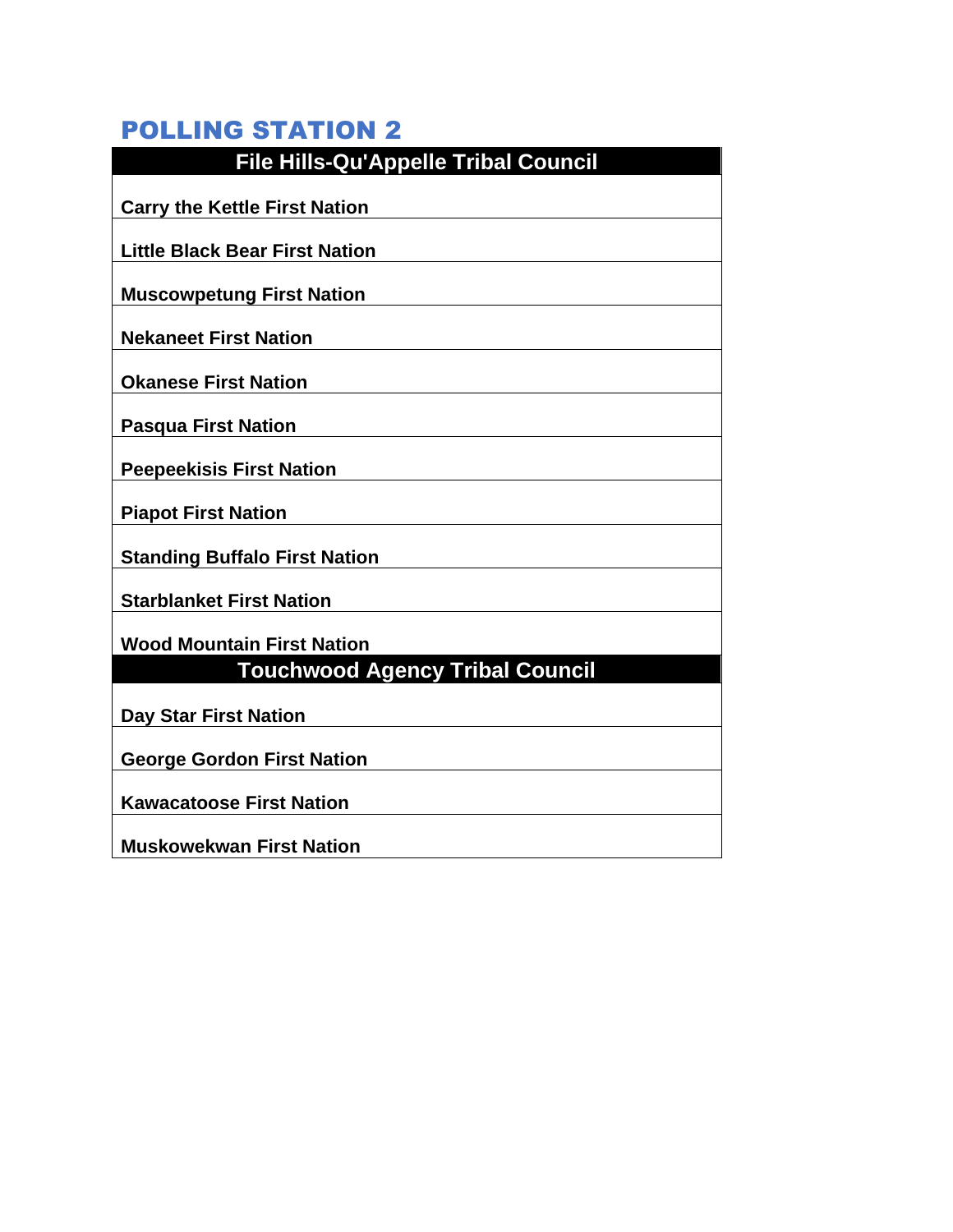| <b>File Hills-Qu'Appelle Tribal Council</b> |
|---------------------------------------------|
| <b>Carry the Kettle First Nation</b>        |
| <b>Little Black Bear First Nation</b>       |
| <b>Muscowpetung First Nation</b>            |
| <b>Nekaneet First Nation</b>                |
| <b>Okanese First Nation</b>                 |
| <b>Pasqua First Nation</b>                  |
| <b>Peepeekisis First Nation</b>             |
| <b>Piapot First Nation</b>                  |
| <b>Standing Buffalo First Nation</b>        |
| <b>Starblanket First Nation</b>             |
| <b>Wood Mountain First Nation</b>           |
| <b>Touchwood Agency Tribal Council</b>      |
| <b>Day Star First Nation</b>                |
| <b>George Gordon First Nation</b>           |
| <b>Kawacatoose First Nation</b>             |
| <b>Muskowekwan First Nation</b>             |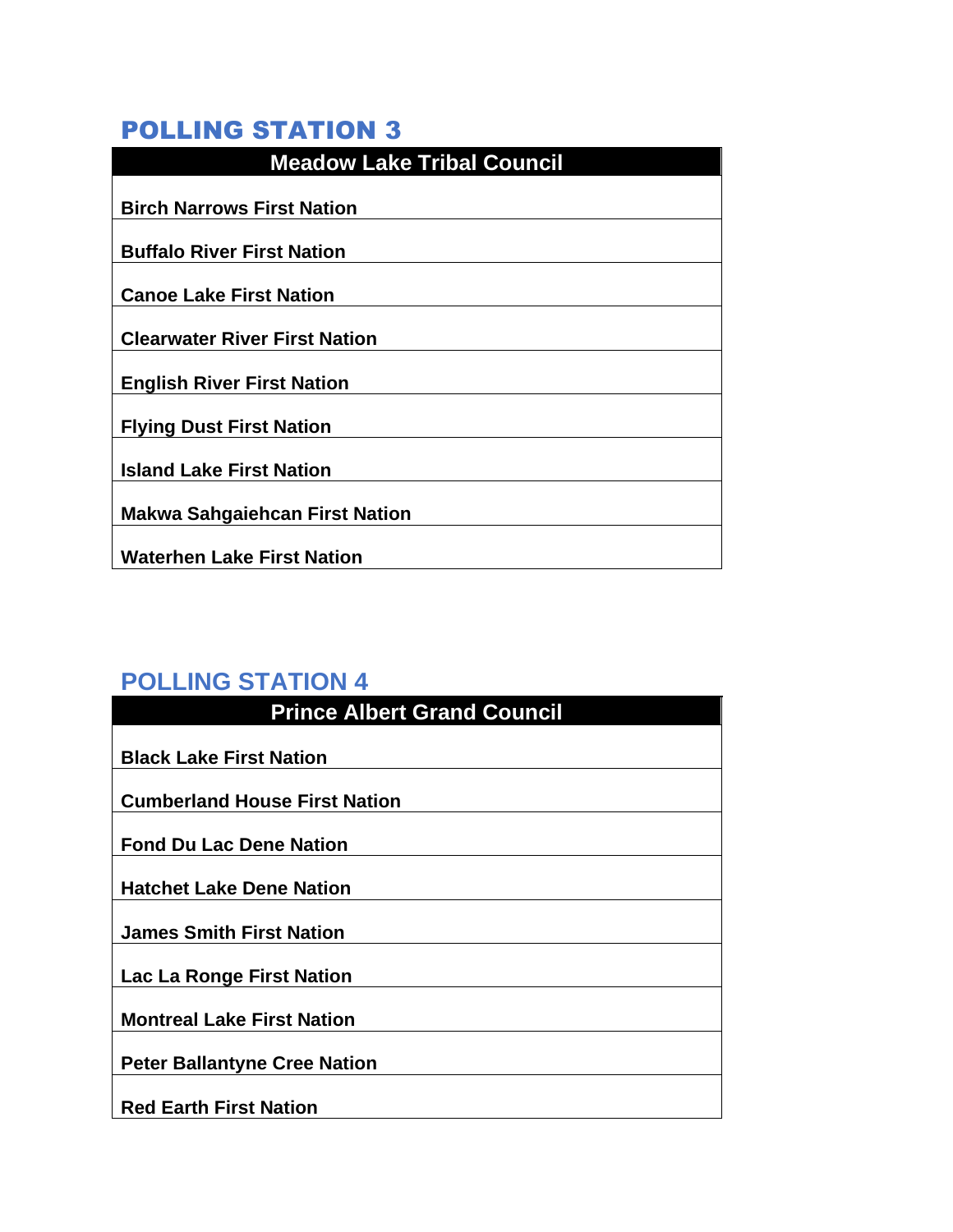| <b>Meadow Lake Tribal Council</b>     |
|---------------------------------------|
| <b>Birch Narrows First Nation</b>     |
| <b>Buffalo River First Nation</b>     |
| <b>Canoe Lake First Nation</b>        |
|                                       |
| <b>Clearwater River First Nation</b>  |
| <b>English River First Nation</b>     |
| <b>Flying Dust First Nation</b>       |
| <b>Island Lake First Nation</b>       |
| <b>Makwa Sahgaiehcan First Nation</b> |
| <b>Waterhen Lake First Nation</b>     |

| <b>Prince Albert Grand Council</b>   |
|--------------------------------------|
|                                      |
| <b>Black Lake First Nation</b>       |
| <b>Cumberland House First Nation</b> |
| <b>Fond Du Lac Dene Nation</b>       |
| <b>Hatchet Lake Dene Nation</b>      |
| <b>James Smith First Nation</b>      |
| Lac La Ronge First Nation            |
| <b>Montreal Lake First Nation</b>    |
| <b>Peter Ballantyne Cree Nation</b>  |
| <b>Red Earth First Nation</b>        |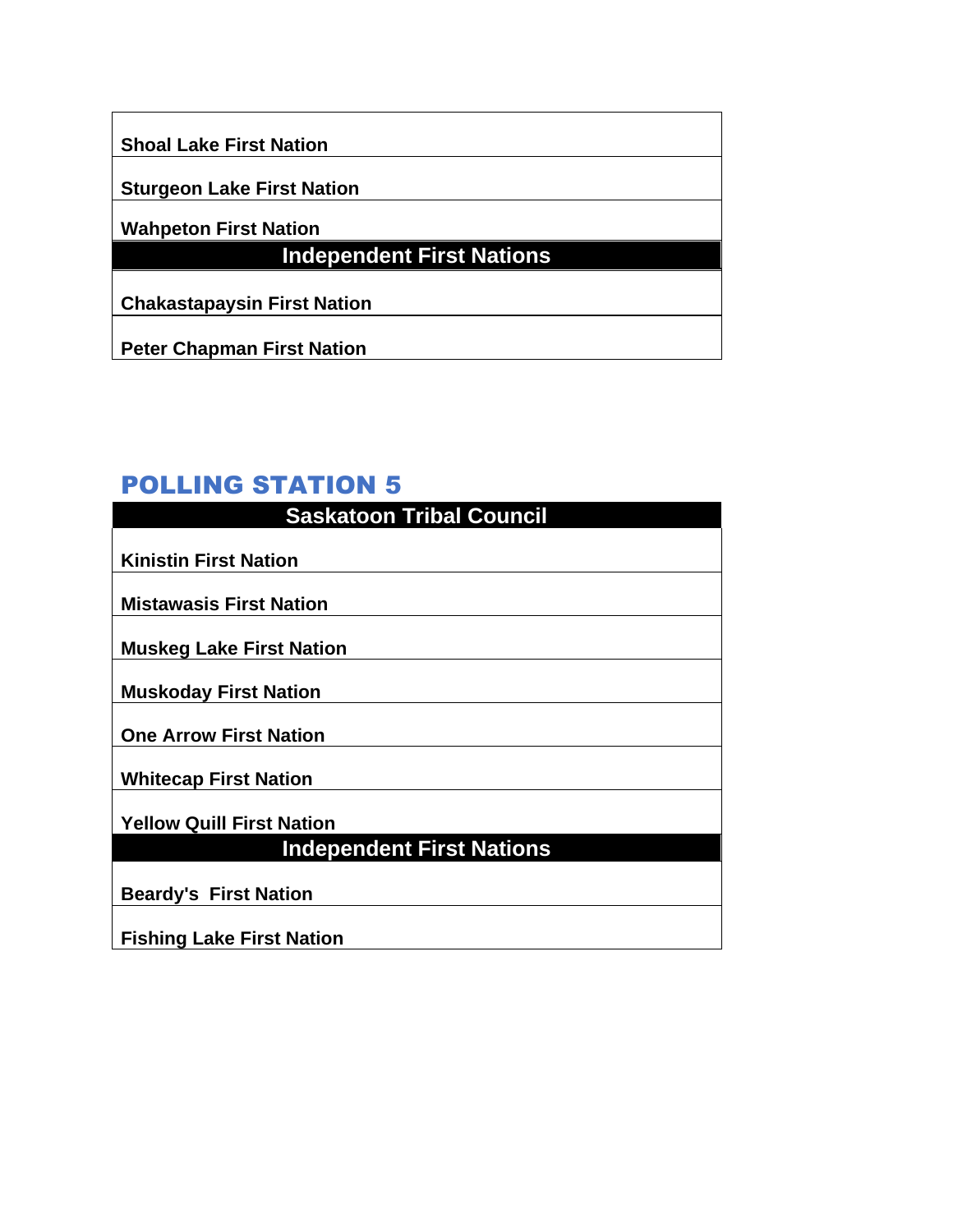**Shoal Lake First Nation** 

**Sturgeon Lake First Nation**

**Wahpeton First Nation**

## **Independent First Nations**

**Chakastapaysin First Nation**

**Peter Chapman First Nation**

| <b>Saskatoon Tribal Council</b>  |
|----------------------------------|
|                                  |
| <b>Kinistin First Nation</b>     |
|                                  |
| <b>Mistawasis First Nation</b>   |
| <b>Muskeg Lake First Nation</b>  |
|                                  |
| <b>Muskoday First Nation</b>     |
|                                  |
| <b>One Arrow First Nation</b>    |
| <b>Whitecap First Nation</b>     |
|                                  |
| <b>Yellow Quill First Nation</b> |
| <b>Independent First Nations</b> |
|                                  |
| <b>Beardy's First Nation</b>     |
|                                  |
| <b>Fishing Lake First Nation</b> |